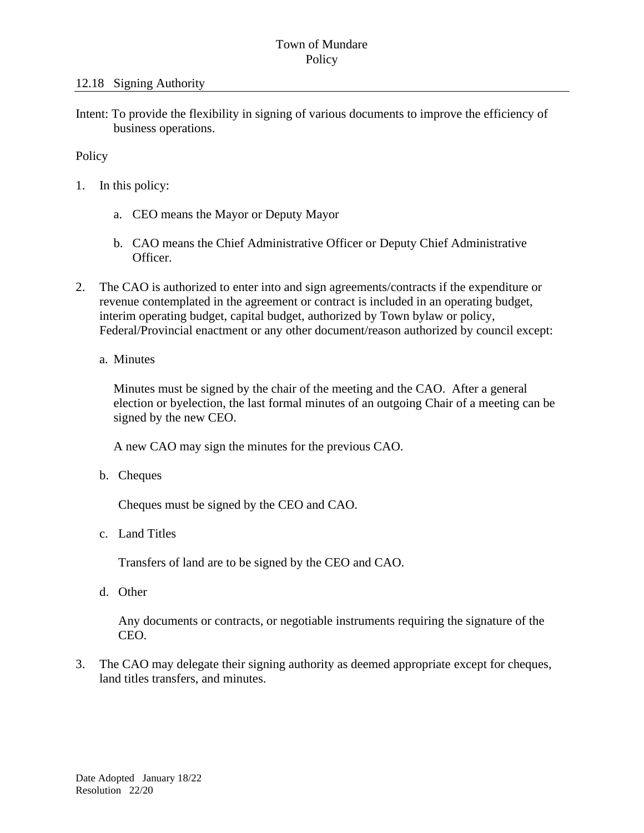## Town of Mundare **Policy**

Intent: To provide the flexibility in signing of various documents to improve the efficiency of business operations.

## Policy

- 1. In this policy:
	- a. CEO means the Mayor or Deputy Mayor
	- b. CAO means the Chief Administrative Officer or Deputy Chief Administrative Officer.
- 2. The CAO is authorized to enter into and sign agreements/contracts if the expenditure or revenue contemplated in the agreement or contract is included in an operating budget, interim operating budget, capital budget, authorized by Town bylaw or policy, Federal/Provincial enactment or any other document/reason authorized by council except:
	- a. Minutes

Minutes must be signed by the chair of the meeting and the CAO. After a general election or byelection, the last formal minutes of an outgoing Chair of a meeting can be signed by the new CEO.

A new CAO may sign the minutes for the previous CAO.

b. Cheques

Cheques must be signed by the CEO and CAO.

c. Land Titles

Transfers of land are to be signed by the CEO and CAO.

d. Other

Any documents or contracts, or negotiable instruments requiring the signature of the CEO.

3. The CAO may delegate their signing authority as deemed appropriate except for cheques, land titles transfers, and minutes.